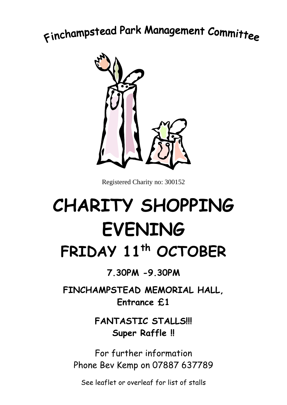## Finchampstead Park Management Committee



Registered Charity no: 300152

## **CHARITY SHOPPING EVENING FRIDAY 11 th OCTOBER**

**7.30PM -9.30PM**

**FINCHAMPSTEAD MEMORIAL HALL, Entrance £1** 

> **FANTASTIC STALLS!!! Super Raffle !!**

For further information Phone Bev Kemp on 07887 637789

See leaflet or overleaf for list of stalls